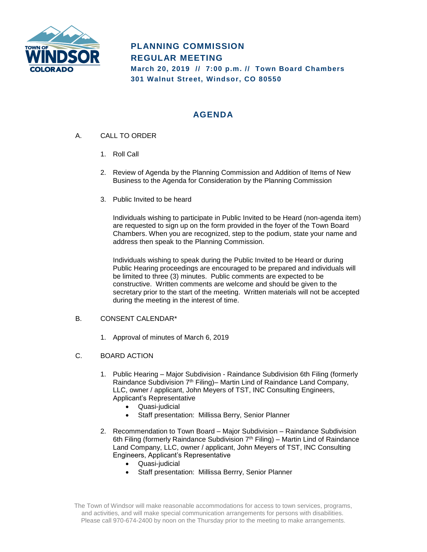

## **PLANNING COMMISSION REGULAR MEETING March 20, 2019 // 7:00 p.m. // Town Board Chambers 301 Walnut Street, Windsor, CO 80550**

# **AGENDA**

- A. CALL TO ORDER
	- 1. Roll Call
	- 2. Review of Agenda by the Planning Commission and Addition of Items of New Business to the Agenda for Consideration by the Planning Commission
	- 3. Public Invited to be heard

Individuals wishing to participate in Public Invited to be Heard (non-agenda item) are requested to sign up on the form provided in the foyer of the Town Board Chambers. When you are recognized, step to the podium, state your name and address then speak to the Planning Commission.

Individuals wishing to speak during the Public Invited to be Heard or during Public Hearing proceedings are encouraged to be prepared and individuals will be limited to three (3) minutes. Public comments are expected to be constructive. Written comments are welcome and should be given to the secretary prior to the start of the meeting. Written materials will not be accepted during the meeting in the interest of time.

### B. CONSENT CALENDAR\*

- 1. Approval of minutes of March 6, 2019
- C. BOARD ACTION
	- 1. Public Hearing Major Subdivision Raindance Subdivision 6th Filing (formerly Raindance Subdivision 7<sup>th</sup> Filing)– Martin Lind of Raindance Land Company, LLC, owner / applicant, John Meyers of TST, INC Consulting Engineers, Applicant's Representative
		- Quasi-judicial
		- Staff presentation: Millissa Berry, Senior Planner
	- 2. Recommendation to Town Board Major Subdivision Raindance Subdivision 6th Filing (formerly Raindance Subdivision  $7<sup>th</sup>$  Filing) – Martin Lind of Raindance Land Company, LLC, owner / applicant, John Meyers of TST, INC Consulting Engineers, Applicant's Representative
		- Quasi-judicial
		- Staff presentation: Millissa Berrry, Senior Planner

The Town of Windsor will make reasonable accommodations for access to town services, programs, and activities, and will make special communication arrangements for persons with disabilities. Please call 970-674-2400 by noon on the Thursday prior to the meeting to make arrangements.